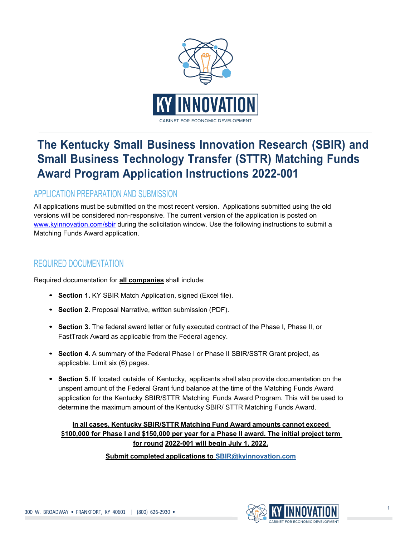

# **The Kentucky Small Business Innovation Research (SBIR) and Small Business Technology Transfer (STTR) Matching Funds Award Program Application Instructions 2022-001**

## APPLICATION PREPARATION AND SUBMISSION

All applications must be submitted on the most recent version. Applications submitted using the old versions will be considered non-responsive. The current version of the application is posted on [www.kyinnovation.com/sbir](http://www.kyinnovation.com/sbir) during the solicitation window. Use the following instructions to submit a Matching Funds Award application.

### REQUIRED DOCUMENTATION

Required documentation for **all companies** shall include:

- **• Section 1.** KY SBIR Match Application, signed (Excel file).
- **• Section 2.** Proposal Narrative, written submission (PDF).
- **• Section 3.** The federal award letter or fully executed contract of the Phase I, Phase II, or FastTrack Award as applicable from the Federal agency.
- **• Section 4.** A summary of the Federal Phase I or Phase II SBIR/SSTR Grant project, as applicable. Limit six (6) pages.
- **• Section 5.** If located outside of Kentucky, applicants shall also provide documentation on the unspent amount of the Federal Grant fund balance at the time of the Matching Funds Award application for the Kentucky SBIR/STTR Matching Funds Award Program. This will be used to determine the maximum amount of the Kentucky SBIR/ STTR Matching Funds Award.

**In all cases, Kentucky SBIR/STTR Matching Fund Award amounts cannot exceed \$100,000 for Phase I and \$150,000 per year for a Phase II award. The initial project term for round 2022-001 will begin July 1, 2022.**

**Submit completed applications to [SBIR@kyinnovation.com](mailto:SBIR@kyinnovation.com)**

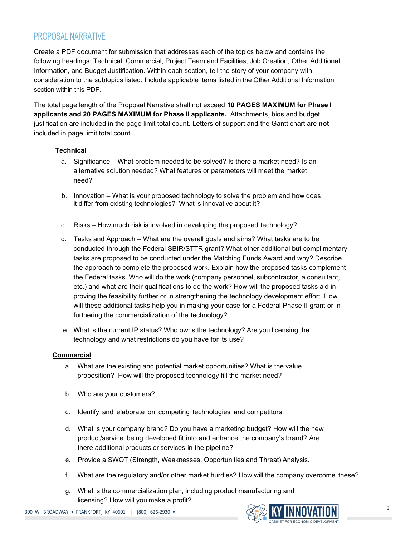### PROPOSAL NARRATIVE

Create a PDF document for submission that addresses each of the topics below and contains the following headings: Technical, Commercial, Project Team and Facilities, Job Creation, Other Additional Information, and Budget Justification. Within each section, tell the story of your company with consideration to the subtopics listed. Include applicable items listed in the Other Additional Information section within this PDF.

The total page length of the Proposal Narrative shall not exceed **10 PAGES MAXIMUM for Phase I applicants and 20 PAGES MAXIMUM for Phase II applicants.** Attachments, bios,and budget justification are included in the page limit total count. Letters of support and the Gantt chart are **not**  included in page limit total count.

#### **Technical**

- a. Significance What problem needed to be solved? Is there a market need? Is an alternative solution needed? What features or parameters will meet the market need?
- b. Innovation What is your proposed technology to solve the problem and how does it differ from existing technologies? What is innovative about it?
- c. Risks How much risk is involved in developing the proposed technology?
- d. Tasks and Approach What are the overall goals and aims? What tasks are to be conducted through the Federal SBIR/STTR grant? What other additional but complimentary tasks are proposed to be conducted under the Matching Funds Award and why? Describe the approach to complete the proposed work. Explain how the proposed tasks complement the Federal tasks. Who will do the work (company personnel, subcontractor, a consultant, etc.) and what are their qualifications to do the work? How will the proposed tasks aid in proving the feasibility further or in strengthening the technology development effort. How will these additional tasks help you in making your case for a Federal Phase II grant or in furthering the commercialization of the technology?
- e. What is the current IP status? Who owns the technology? Are you licensing the technology and what restrictions do you have for its use?

#### **Commercial**

- a. What are the existing and potential market opportunities? What is the value proposition? How will the proposed technology fill the market need?
- b. Who are your customers?
- c. Identify and elaborate on competing technologies and competitors.
- d. What is your company brand? Do you have a marketing budget? How will the new product/service being developed fit into and enhance the company's brand? Are there additional products or services in the pipeline?
- e. Provide a SWOT (Strength, Weaknesses, Opportunities and Threat) Analysis.
- f. What are the regulatory and/or other market hurdles? How will the company overcome these?
- g. What is the commercialization plan, including product manufacturing and licensing? How will you make a profit?

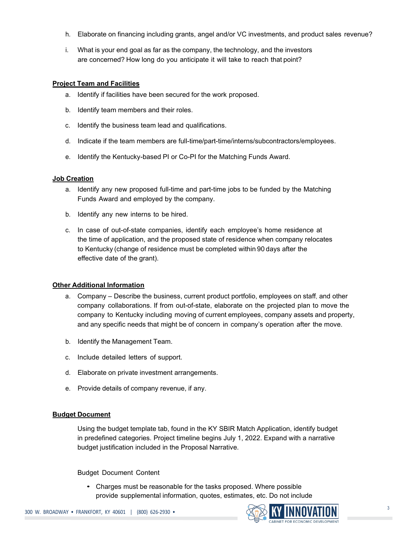- h. Elaborate on financing including grants, angel and/or VC investments, and product sales revenue?
- i. What is your end goal as far as the company, the technology, and the investors are concerned? How long do you anticipate it will take to reach that point?

#### **Project Team and Facilities**

- a. Identify if facilities have been secured for the work proposed.
- b. Identify team members and their roles.
- c. Identify the business team lead and qualifications.
- d. Indicate if the team members are full-time/part-time/interns/subcontractors/employees.
- e. Identify the Kentucky-based PI or Co-PI for the Matching Funds Award.

#### **Job Creation**

- a. Identify any new proposed full-time and part-time jobs to be funded by the Matching Funds Award and employed by the company.
- b. Identify any new interns to be hired.
- c. In case of out-of-state companies, identify each employee's home residence at the time of application, and the proposed state of residence when company relocates to Kentucky (change of residence must be completed within 90 days after the effective date of the grant).

#### **Other Additional Information**

- a. Company Describe the business, current product portfolio, employees on staff, and other company collaborations. If from out-of-state, elaborate on the projected plan to move the company to Kentucky including moving of current employees, company assets and property, and any specific needs that might be of concern in company's operation after the move.
- b. Identify the Management Team.
- c. Include detailed letters of support.
- d. Elaborate on private investment arrangements.
- e. Provide details of company revenue, if any.

#### **Budget Document**

Using the budget template tab, found in the KY SBIR Match Application, identify budget in predefined categories. Project timeline begins July 1, 2022. Expand with a narrative budget justification included in the Proposal Narrative.

#### Budget Document Content

• Charges must be reasonable for the tasks proposed. Where possible provide supplemental information, quotes, estimates, etc. Do not include